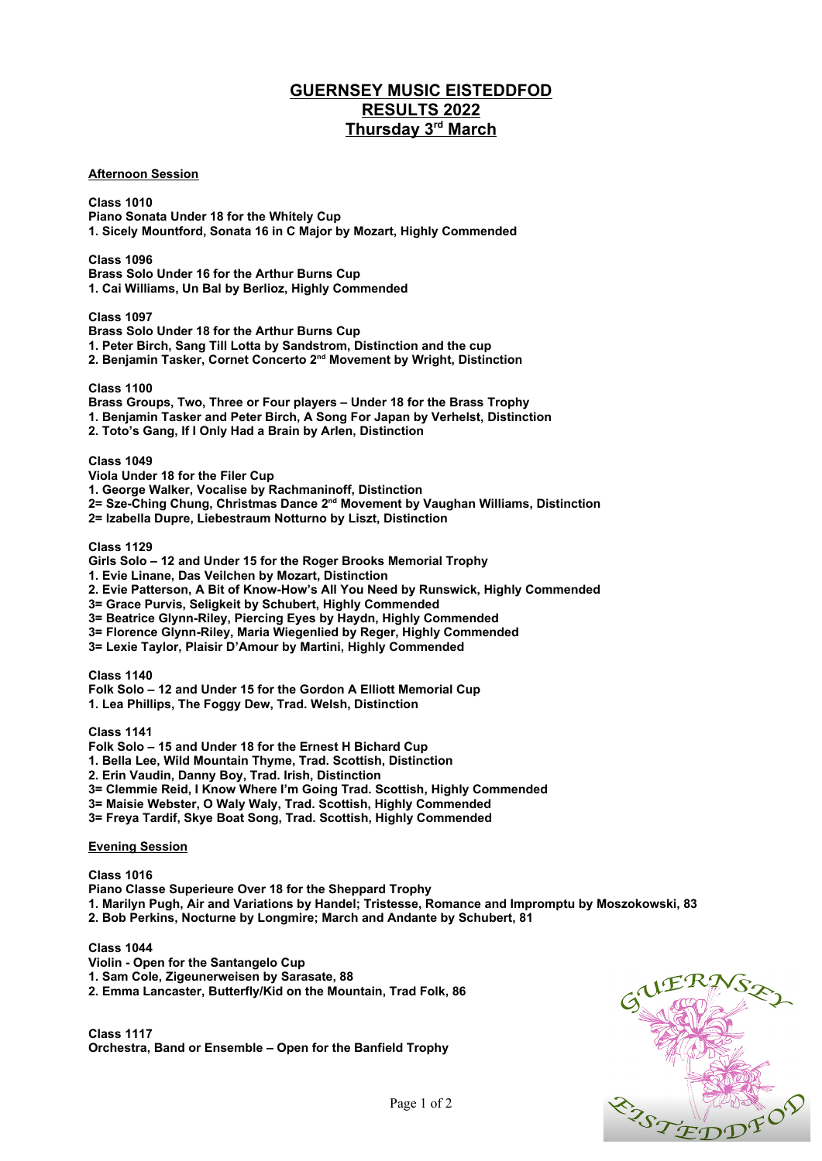## **GUERNSEY MUSIC EISTEDDFOD RESULTS 2022 Thursday 3rd March**

## **Afternoon Session**

**Class 1010 Piano Sonata Under 18 for the Whitely Cup 1. Sicely Mountford, Sonata 16 in C Major by Mozart, Highly Commended**

**Class 1096 Brass Solo Under 16 for the Arthur Burns Cup 1. Cai Williams, Un Bal by Berlioz, Highly Commended**

**Class 1097**

**Brass Solo Under 18 for the Arthur Burns Cup**

**1. Peter Birch, Sang Till Lotta by Sandstrom, Distinction and the cup**

**2. Benjamin Tasker, Cornet Concerto 2nd Movement by Wright, Distinction**

**Class 1100**

**Brass Groups, Two, Three or Four players – Under 18 for the Brass Trophy**

**1. Benjamin Tasker and Peter Birch, A Song For Japan by Verhelst, Distinction**

**2. Toto's Gang, If I Only Had a Brain by Arlen, Distinction**

**Class 1049**

**Viola Under 18 for the Filer Cup**

**1. George Walker, Vocalise by Rachmaninoff, Distinction**

**2= Sze-Ching Chung, Christmas Dance 2nd Movement by Vaughan Williams, Distinction**

**2= Izabella Dupre, Liebestraum Notturno by Liszt, Distinction**

**Class 1129**

**Girls Solo – 12 and Under 15 for the Roger Brooks Memorial Trophy 1. Evie Linane, Das Veilchen by Mozart, Distinction 2. Evie Patterson, A Bit of Know-How's All You Need by Runswick, Highly Commended 3= Grace Purvis, Seligkeit by Schubert, Highly Commended 3= Beatrice Glynn-Riley, Piercing Eyes by Haydn, Highly Commended 3= Florence Glynn-Riley, Maria Wiegenlied by Reger, Highly Commended 3= Lexie Taylor, Plaisir D'Amour by Martini, Highly Commended Class 1140 Folk Solo – 12 and Under 15 for the Gordon A Elliott Memorial Cup**

**1. Lea Phillips, The Foggy Dew, Trad. Welsh, Distinction**

**Class 1141**

**Folk Solo – 15 and Under 18 for the Ernest H Bichard Cup 1. Bella Lee, Wild Mountain Thyme, Trad. Scottish, Distinction 2. Erin Vaudin, Danny Boy, Trad. Irish, Distinction 3= Clemmie Reid, I Know Where I'm Going Trad. Scottish, Highly Commended 3= Maisie Webster, O Waly Waly, Trad. Scottish, Highly Commended 3= Freya Tardif, Skye Boat Song, Trad. Scottish, Highly Commended**

**Evening Session**

**Class 1016 Piano Classe Superieure Over 18 for the Sheppard Trophy 1. Marilyn Pugh, Air and Variations by Handel; Tristesse, Romance and Impromptu by Moszokowski, 83 2. Bob Perkins, Nocturne by Longmire; March and Andante by Schubert, 81**

**Class 1044**

**Violin - Open for the Santangelo Cup**

**1. Sam Cole, Zigeunerweisen by Sarasate, 88**

**2. Emma Lancaster, Butterfly/Kid on the Mountain, Trad Folk, 86**

**Class 1117 Orchestra, Band or Ensemble – Open for the Banfield Trophy**